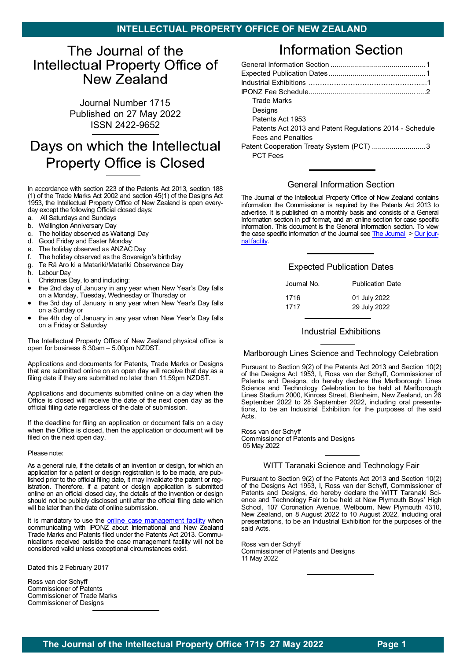# <span id="page-0-0"></span>The Journal of the Intellectual Property Office of New Zealand

Journal Number 1715 Published on 27 May 2022 ISSN 2422-9652

# Days on which the Intellectual **Property Office is Closed**

In accordance with section 223 of the Patents Act 2013, section 188 (1) of the Trade Marks Act 2002 and section 45(1) of the Designs Act 1953, the Intellectual Property Office of New Zealand is open everyday except the following Official closed days:

- a. All Saturdays and Sundays
- b. Wellington Anniversary Day
- c. The holiday observed as Waitangi Day
- d. Good Friday and Easter Monday
- e. The holiday observed as ANZAC Day
- f. The holiday observed as the Sovereign's birthday
- Te Rā Aro ki a Matariki/Matariki Observance Day
- h. Labour Day
- i. Christmas Day, to and including:
- the 2nd day of January in any year when New Year's Day falls on a Monday, Tuesday, Wednesday or Thursday or
- the 3rd day of January in any year when New Year's Day falls on a Sunday or
- the 4th day of January in any year when New Year's Day falls on a Friday or Saturday

The Intellectual Property Office of New Zealand physical office is open for business 8.30am – 5.00pm NZDST.

Applications and documents for Patents, Trade Marks or Designs that are submitted online on an open day will receive that day as a filing date if they are submitted no later than 11.59pm NZDST.

Applications and documents submitted online on a day when the Office is closed will receive the date of the next open day as the official filing date regardless of the date of submission.

If the deadline for filing an application or document falls on a day when the Office is closed, then the application or document will be filed on the next open day.

### Please note:

As a general rule, if the details of an invention or design, for which an application for a patent or design registration is to be made, are published prior to the official filing date, it may invalidate the patent or registration. Therefore, if a patent or design application is submitted online on an official closed day, the details of the invention or design should not be publicly disclosed until after the official filing date which will be later than the date of online submission.

It is mandatory to use the **[online case management facility](https://www.iponz.govt.nz/manage-ip/)** when communicating with IPONZ about International and New Zealand Trade Marks and Patents filed under the Patents Act 2013. Communications received outside the case management facility will not be considered valid unless exceptional circumstances exist.

Dated this 2 February 2017

Ross van der Schyff Commissioner of Patents Commissioner of Trade Marks Commissioner of Designs

# **Information Section**

| <b>Trade Marks</b>                                      |
|---------------------------------------------------------|
| Designs                                                 |
| Patents Act 1953                                        |
| Patents Act 2013 and Patent Regulations 2014 - Schedule |
| <b>Fees and Penalties</b>                               |
| Patent Cooperation Treaty System (PCT)  3               |
| <b>PCT Fees</b>                                         |

## [General Information Section](#page-0-0)

The Journal of the Intellectual Property Office of New Zealand contains information the Commissioner is required by the Patents Act 2013 to advertise. It is published on a monthly basis and consists of a General Information section in pdf format, and an online section for case specific information. This document is the General Information section. To view the case specific information of the Journal see  $The Journal  $Our$  $The Journal  $Our$  jour$$ [nal facility.](http://app.iponz.govt.nz/app/Extra/Default.aspx?op=EXTRA_Activity_qbe&fcoOp=EXTRA__Default)

## [Expected Publication Dates](#page-0-0)

| Journal No. | <b>Publication Date</b> |
|-------------|-------------------------|
| 1716        | 01 July 2022            |
| 1717        | 29 July 2022            |

### [Industrial Exhibitions](#page-0-0)

Marlborough Lines Science and Technology Celebration

Pursuant to Section 9(2) of the Patents Act 2013 and Section 10(2) of the Designs Act 1953, I, Ross van der Schyff, Commissioner of Patents and Designs, do hereby declare the Marlborough Lines Science and Technology Celebration to be held at Marlborough Lines Stadium 2000, Kinross Street, Blenheim, New Zealand, on 26 September 2022 to 28 September 2022, including oral presentations, to be an Industrial Exhibition for the purposes of the said Acts.

Ross van der Schyff Commissioner of Patents and Designs 05 May 2022

### WITT Taranaki Science and Technology Fair

Pursuant to Section 9(2) of the Patents Act 2013 and Section 10(2) of the Designs Act 1953, I, Ross van der Schyff, Commissioner of Patents and Designs, do hereby declare the WITT Taranaki Science and Technology Fair to be held at New Plymouth Boys' High School, 107 Coronation Avenue, Welbourn, New Plymouth 4310, New Zealand, on 8 August 2022 to 10 August 2022, including oral presentations, to be an Industrial Exhibition for the purposes of the said Acts.

Ross van der Schyff Commissioner of Patents and Designs 11 May 2022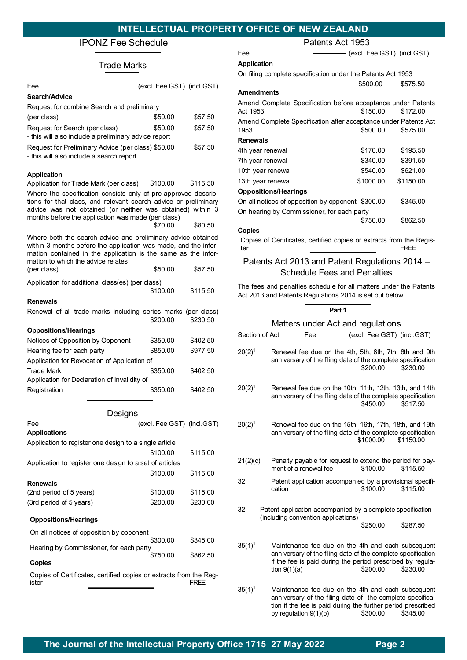# <span id="page-1-0"></span>[IPONZ Fee Schedule](#page-1-0)

# Trade Marks

| Fee                                                                                                                                                                                                                                    | (excl. Fee GST) (incl.GST) |          |
|----------------------------------------------------------------------------------------------------------------------------------------------------------------------------------------------------------------------------------------|----------------------------|----------|
| Search/Advice                                                                                                                                                                                                                          |                            |          |
| Request for combine Search and preliminary<br>(per class)                                                                                                                                                                              | \$50.00                    | \$57.50  |
| Request for Search (per class)<br>- this will also include a preliminary advice report                                                                                                                                                 | \$50.00                    | \$57.50  |
| Request for Preliminary Advice (per class) \$50.00<br>- this will also include a search report                                                                                                                                         |                            | \$57.50  |
| <b>Application</b>                                                                                                                                                                                                                     |                            |          |
| Application for Trade Mark (per class)<br>Where the specification consists only of pre-approved descrip-<br>tions for that class, and relevant search advice or preliminary                                                            | \$100.00                   | \$115.50 |
| advice was not obtained (or neither was obtained) within 3<br>months before the application was made (per class)                                                                                                                       |                            |          |
|                                                                                                                                                                                                                                        | \$70.00                    | \$80.50  |
| Where both the search advice and preliminary advice obtained<br>within 3 months before the application was made, and the infor-<br>mation contained in the application is the same as the infor-<br>mation to which the advice relates |                            |          |
| (per class)                                                                                                                                                                                                                            | \$50.00                    | \$57.50  |
| Application for additional class(es) (per class)                                                                                                                                                                                       | \$100.00                   | \$115.50 |
| Renewals                                                                                                                                                                                                                               |                            |          |
| Renewal of all trade marks including series marks (per class)                                                                                                                                                                          | \$200.00                   | \$230.50 |
| <b>Oppositions/Hearings</b>                                                                                                                                                                                                            |                            |          |
| Notices of Opposition by Opponent                                                                                                                                                                                                      | \$350.00                   | \$402.50 |
| Hearing fee for each party                                                                                                                                                                                                             | \$850.00                   | \$977.50 |
| Application for Revocation of Application of                                                                                                                                                                                           |                            |          |
| Trade Mark                                                                                                                                                                                                                             | \$350.00                   | \$402.50 |
| Application for Declaration of Invalidity of<br>Registration                                                                                                                                                                           | \$350.00                   | \$402.50 |
| Designs                                                                                                                                                                                                                                |                            |          |
| Fee                                                                                                                                                                                                                                    | (excl. Fee GST) (incl.GST) |          |
| Applications                                                                                                                                                                                                                           |                            |          |
| Application to register one design to a single article                                                                                                                                                                                 |                            |          |
|                                                                                                                                                                                                                                        | \$100.00                   | \$115.00 |
| Application to register one design to a set of articles                                                                                                                                                                                | \$100.00                   | \$115.00 |
| <b>Renewals</b>                                                                                                                                                                                                                        |                            |          |
| (2nd period of 5 years)                                                                                                                                                                                                                | \$100.00                   | \$115.00 |
| (3rd period of 5 years)                                                                                                                                                                                                                | \$200.00                   | \$230.00 |
| <b>Oppositions/Hearings</b>                                                                                                                                                                                                            |                            |          |
| On all notices of opposition by opponent                                                                                                                                                                                               | \$300.00                   | \$345.00 |
| Hearing by Commissioner, for each party                                                                                                                                                                                                | \$750.00                   | \$862.50 |
| <b>Copies</b>                                                                                                                                                                                                                          |                            |          |
| Copies of Certificates, certified copies or extracts from the Reg-<br>ister                                                                                                                                                            |                            | FREE     |
|                                                                                                                                                                                                                                        |                            |          |

| Patents Act 1953                                                            |                              |           |  |  |
|-----------------------------------------------------------------------------|------------------------------|-----------|--|--|
| Fee                                                                         | — (excl. Fee GST) (incl.GST) |           |  |  |
| <b>Application</b>                                                          |                              |           |  |  |
| On filing complete specification under the Patents Act 1953                 |                              |           |  |  |
|                                                                             | \$500.00                     | \$575.50  |  |  |
| <b>Amendments</b>                                                           |                              |           |  |  |
| Amend Complete Specification before acceptance under Patents                |                              |           |  |  |
| Act 1953                                                                    | \$150.00                     | \$172.00  |  |  |
| Amend Complete Specification after acceptance under Patents Act             |                              |           |  |  |
| 1953                                                                        | \$500.00                     | \$575.00  |  |  |
| <b>Renewals</b>                                                             |                              |           |  |  |
| 4th year renewal                                                            | \$170.00                     | \$195.50  |  |  |
| 7th year renewal                                                            | \$340.00                     | \$391.50  |  |  |
| 10th year renewal                                                           | \$540.00                     | \$621.00  |  |  |
| 13th year renewal                                                           | \$1000.00                    | \$1150.00 |  |  |
| <b>Oppositions/Hearings</b>                                                 |                              |           |  |  |
| On all notices of opposition by opponent \$300.00                           |                              | \$345.00  |  |  |
| On hearing by Commissioner, for each party                                  |                              |           |  |  |
|                                                                             | \$750.00                     | \$862.50  |  |  |
| Copies                                                                      |                              |           |  |  |
| Copies of Certificates, certified copies or extracts from the Regis-<br>ter |                              | FREE      |  |  |

# Patents Act 2013 and Patent Regulations 2014 – Schedule Fees and Penalties

The fees and penalties schedule for all matters under the Patents Act 2013 and Patents Regulations 2014 is set out below.

### **Part 1**

### Matters under Act and regulations

| Section of Act                                                                                          | Fee                                                                                                                                                                                                      | (excl. Fee GST) (incl.GST) |           |  |
|---------------------------------------------------------------------------------------------------------|----------------------------------------------------------------------------------------------------------------------------------------------------------------------------------------------------------|----------------------------|-----------|--|
| $20(2)^{1}$                                                                                             | Renewal fee due on the 4th, 5th, 6th, 7th, 8th and 9th<br>anniversary of the filing date of the complete specification                                                                                   | \$200.00                   | \$230.00  |  |
| $20(2)^{1}$                                                                                             | Renewal fee due on the 10th, 11th, 12th, 13th, and 14th<br>anniversary of the filing date of the complete specification                                                                                  | \$450.00                   | \$517.50  |  |
| $20(2)^{1}$                                                                                             | Renewal fee due on the 15th, 16th, 17th, 18th, and 19th<br>anniversary of the filing date of the complete specification                                                                                  | \$1000.00                  | \$1150.00 |  |
| 21(2)(c)                                                                                                | Penalty payable for request to extend the period for pay-<br>ment of a renewal fee                                                                                                                       | \$100.00                   | \$115.50  |  |
| 32                                                                                                      | Patent application accompanied by a provisional specifi-<br>cation                                                                                                                                       | \$100.00                   | \$115.00  |  |
| 32<br>Patent application accompanied by a complete specification<br>(including convention applications) |                                                                                                                                                                                                          |                            |           |  |
|                                                                                                         |                                                                                                                                                                                                          | \$250.00                   | \$287.50  |  |
| $35(1)^1$                                                                                               | Maintenance fee due on the 4th and each subsequent<br>anniversary of the filing date of the complete specification<br>if the fee is paid during the period prescribed by regula-<br>tion $9(1)(a)$       | \$200.00                   | \$230.00  |  |
| $35(1)^1$                                                                                               | Maintenance fee due on the 4th and each subsequent<br>anniversary of the filing date of the complete specifica-<br>tion if the fee is paid during the further period prescribed<br>by regulation 9(1)(b) | \$300.00                   | \$345.00  |  |